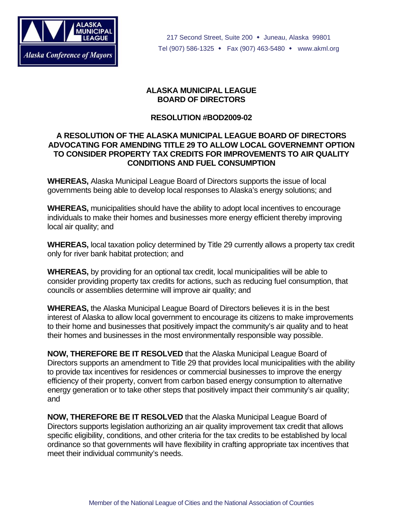

217 Second Street, Suite 200 • Juneau, Alaska 99801 Tel (907) 586-1325 • Fax (907) 463-5480 • www.akml.org

## **ALASKA MUNICIPAL LEAGUE BOARD OF DIRECTORS**

## **RESOLUTION #BOD2009-02**

## **A RESOLUTION OF THE ALASKA MUNICIPAL LEAGUE BOARD OF DIRECTORS ADVOCATING FOR AMENDING TITLE 29 TO ALLOW LOCAL GOVERNEMNT OPTION TO CONSIDER PROPERTY TAX CREDITS FOR IMPROVEMENTS TO AIR QUALITY CONDITIONS AND FUEL CONSUMPTION**

**WHEREAS,** Alaska Municipal League Board of Directors supports the issue of local governments being able to develop local responses to Alaska's energy solutions; and

**WHEREAS,** municipalities should have the ability to adopt local incentives to encourage individuals to make their homes and businesses more energy efficient thereby improving local air quality; and

**WHEREAS,** local taxation policy determined by Title 29 currently allows a property tax credit only for river bank habitat protection; and

**WHEREAS,** by providing for an optional tax credit, local municipalities will be able to consider providing property tax credits for actions, such as reducing fuel consumption, that councils or assemblies determine will improve air quality; and

**WHEREAS,** the Alaska Municipal League Board of Directors believes it is in the best interest of Alaska to allow local government to encourage its citizens to make improvements to their home and businesses that positively impact the community's air quality and to heat their homes and businesses in the most environmentally responsible way possible.

**NOW, THEREFORE BE IT RESOLVED** that the Alaska Municipal League Board of Directors supports an amendment to Title 29 that provides local municipalities with the ability to provide tax incentives for residences or commercial businesses to improve the energy efficiency of their property, convert from carbon based energy consumption to alternative energy generation or to take other steps that positively impact their community's air quality; and

**NOW, THEREFORE BE IT RESOLVED** that the Alaska Municipal League Board of Directors supports legislation authorizing an air quality improvement tax credit that allows specific eligibility, conditions, and other criteria for the tax credits to be established by local ordinance so that governments will have flexibility in crafting appropriate tax incentives that meet their individual community's needs.